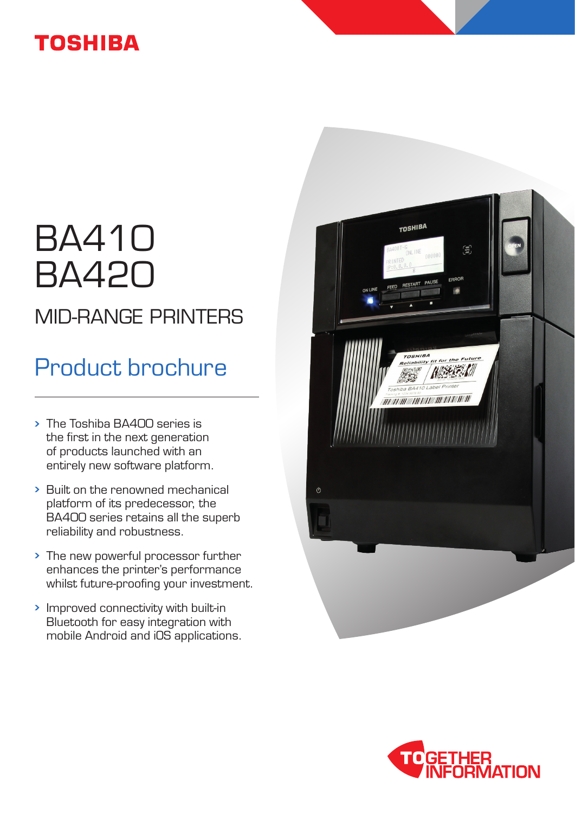## **TOSHIBA**

# BA410 BA420 MID-RANGE PRINTERS

## Product brochure

- The Toshiba BA400 series is the first in the next generation of products launched with an entirely new software platform.
- Built on the renowned mechanical platform of its predecessor, the BA400 series retains all the superb reliability and robustness.
- The new powerful processor further enhances the printer's performance whilst future-proofing your investment.
- Improved connectivity with built-in Bluetooth for easy integration with mobile Android and iOS applications.



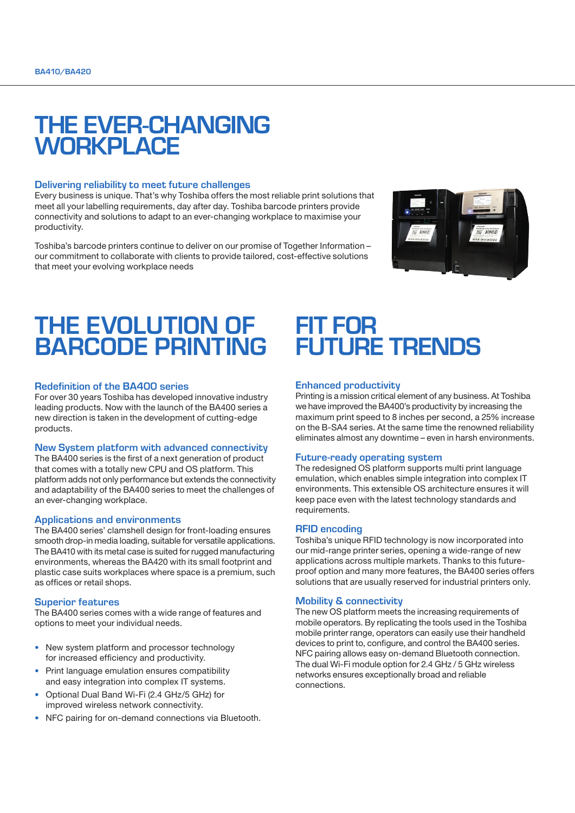## THE EVER-CHANGING **WORKPLACE**

#### Delivering reliability to meet future challenges

Every business is unique. That's why Toshiba offers the most reliable print solutions that meet all your labelling requirements, day after day. Toshiba barcode printers provide connectivity and solutions to adapt to an ever-changing workplace to maximise your productivity.

Toshiba's barcode printers continue to deliver on our promise of Together Information – our commitment to collaborate with clients to provide tailored, cost-effective solutions that meet your evolving workplace needs



## THE EVOLUTION OF BARCODE PRINTING

#### Redefinition of the BA400 series

For over 30 years Toshiba has developed innovative industry leading products. Now with the launch of the BA400 series a new direction is taken in the development of cutting-edge products.

#### New System platform with advanced connectivity

The BA400 series is the first of a next generation of product that comes with a totally new CPU and OS platform. This platform adds not only performance but extends the connectivity and adaptability of the BA400 series to meet the challenges of an ever-changing workplace.

#### Applications and environments

The BA400 series' clamshell design for front-loading ensures smooth drop-in media loading, suitable for versatile applications. The BA410 with its metal case is suited for rugged manufacturing environments, whereas the BA420 with its small footprint and plastic case suits workplaces where space is a premium, such as offices or retail shops.

#### Superior features

The BA400 series comes with a wide range of features and options to meet your individual needs.

- ∙ New system platform and processor technology for increased efficiency and productivity.
- ∙ Print language emulation ensures compatibility and easy integration into complex IT systems.
- ∙ Optional Dual Band Wi-Fi (2.4 GHz/5 GHz) for improved wireless network connectivity.
- ∙ NFC pairing for on-demand connections via Bluetooth.

### FIT FOR FUTURE TRENDS

#### Enhanced productivity

Printing is a mission critical element of any business. At Toshiba we have improved the BA400's productivity by increasing the maximum print speed to 8 inches per second, a 25% increase on the B-SA4 series. At the same time the renowned reliability eliminates almost any downtime – even in harsh environments.

#### Future-ready operating system

The redesigned OS platform supports multi print language emulation, which enables simple integration into complex IT environments. This extensible OS architecture ensures it will keep pace even with the latest technology standards and requirements.

#### RFID encoding

Toshiba's unique RFID technology is now incorporated into our mid-range printer series, opening a wide-range of new applications across multiple markets. Thanks to this futureproof option and many more features, the BA400 series offers solutions that are usually reserved for industrial printers only.

#### Mobility & connectivity

The new OS platform meets the increasing requirements of mobile operators. By replicating the tools used in the Toshiba mobile printer range, operators can easily use their handheld devices to print to, configure, and control the BA400 series. NFC pairing allows easy on-demand Bluetooth connection. The dual Wi-Fi module option for 2.4 GHz / 5 GHz wireless networks ensures exceptionally broad and reliable connections.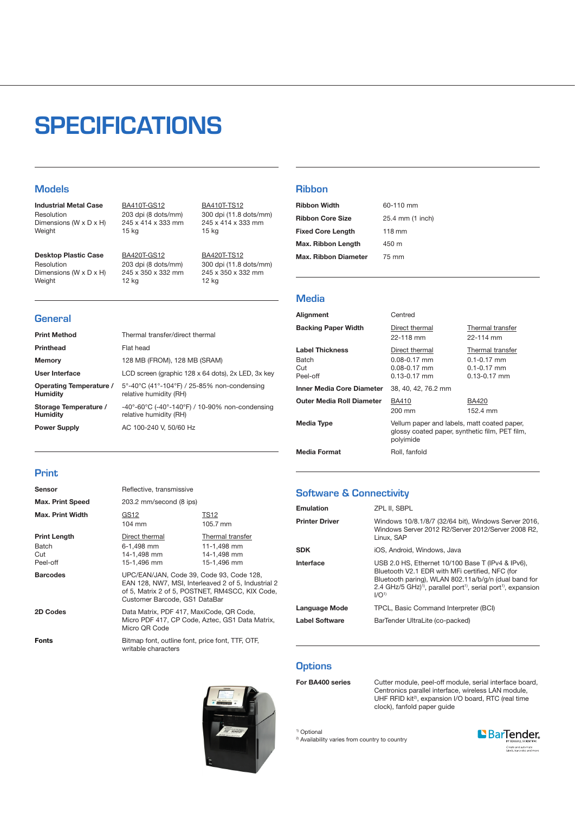## **SPECIFICATIONS**

Print Method Thermal transfer/direct thermal

12 kg

Memory 128 MB (FROM), 128 MB (SRAM)

**Power Supply AC 100-240 V, 50/60 Hz** 

User Interface LCD screen (graphic 128 x 64 dots), 2x LED, 3x key

relative humidity (RH)

relative humidity (RH)

5°-40°C (41°-104°F) / 25-85% non-condensing

-40°-60°C (-40°-140°F) / 10-90% non-condensing

#### **Models**

**General** 

Industrial Metal Case Resolution Dimensions (W x D x H) Weight

BA410T-GS12 203 dpi (8 dots/mm) 245 x 414 x 333 mm 15 kg

245 x 350 x 332 mm

Desktop Plastic Case Resolution Dimensions (W x D x H) Weight

**Printhead** Flat head

Operating Temperature /

Storage Temperature /

BA420T-GS12 203 dpi (8 dots/mm) BA410T-TS12 300 dpi (11.8 dots/mm) 245 x 414 x 333 mm 15 kg

BA420T-TS12 300 dpi (11.8 dots/mm) 245 x 350 x 332 mm 12 kg

#### Ribbon

| <b>Ribbon Width</b>         | 60-110 mm        |
|-----------------------------|------------------|
| <b>Ribbon Core Size</b>     | 25.4 mm (1 inch) |
| <b>Fixed Core Length</b>    | $118 \text{ mm}$ |
| Max. Ribbon Length          | 450 m            |
| <b>Max. Ribbon Diameter</b> | 75 mm            |

#### **Media**

| Alignment                                          | Centred                                                                                                    |                                                                            |
|----------------------------------------------------|------------------------------------------------------------------------------------------------------------|----------------------------------------------------------------------------|
| <b>Backing Paper Width</b>                         | Direct thermal<br>22-118 mm                                                                                | Thermal transfer<br>22-114 mm                                              |
| <b>Label Thickness</b><br>Batch<br>Cut<br>Peel-off | Direct thermal<br>$0.08 - 0.17$ mm<br>$0.08 - 0.17$ mm<br>$0.13 - 0.17$ mm                                 | Thermal transfer<br>$0.1 - 0.17$ mm<br>$0.1 - 0.17$ mm<br>$0.13 - 0.17$ mm |
| Inner Media Core Diameter                          | 38, 40, 42, 76.2 mm                                                                                        |                                                                            |
| <b>Outer Media Roll Diameter</b>                   | BA410<br>200 mm                                                                                            | <b>BA420</b><br>152.4 mm                                                   |
| Media Type                                         | Vellum paper and labels, matt coated paper,<br>glossy coated paper, synthetic film, PET film,<br>polyimide |                                                                            |
| <b>Media Format</b>                                | Roll, fanfold                                                                                              |                                                                            |

#### Print

Humidity

**Humidity** 

| Sensor                                                             | Reflective, transmissive                                                                                                                |                                                               |
|--------------------------------------------------------------------|-----------------------------------------------------------------------------------------------------------------------------------------|---------------------------------------------------------------|
| <b>Max. Print Speed</b>                                            | 203.2 mm/second (8 ips)                                                                                                                 |                                                               |
| <b>Max. Print Width</b>                                            | GS12<br>$104 \text{ mm}$                                                                                                                | TS12<br>105.7 mm                                              |
| <b>Print Length</b><br>Batch<br>Cut<br>Peel-off<br><b>Barcodes</b> | Direct thermal<br>6-1,498 mm<br>14-1,498 mm<br>15-1.496 mm<br>UPC/EAN/JAN, Code 39, Code 93, Code 128,                                  | Thermal transfer<br>11-1,498 mm<br>14-1,498 mm<br>15-1.496 mm |
|                                                                    | EAN 128, NW7, MSI, Interleaved 2 of 5, Industrial 2<br>of 5, Matrix 2 of 5, POSTNET, RM4SCC, KIX Code,<br>Customer Barcode, GS1 DataBar |                                                               |
| 2D Codes                                                           | Data Matrix, PDF 417, MaxiCode, QR Code,<br>Micro PDF 417, CP Code, Aztec, GS1 Data Matrix,<br>Micro QR Code                            |                                                               |
| Fonts                                                              | Bitmap font, outline font, price font, TTF, OTF,<br>writable characters                                                                 |                                                               |



#### Software & Connectivity

| Emulation             | ZPL II. SBPL                                                                                                                                                                                                                                                                           |
|-----------------------|----------------------------------------------------------------------------------------------------------------------------------------------------------------------------------------------------------------------------------------------------------------------------------------|
| <b>Printer Driver</b> | Windows 10/8.1/8/7 (32/64 bit), Windows Server 2016,<br>Windows Server 2012 R2/Server 2012/Server 2008 R2,<br>Linux. SAP                                                                                                                                                               |
| <b>SDK</b>            | iOS, Android, Windows, Java                                                                                                                                                                                                                                                            |
| Interface             | USB 2.0 HS, Ethernet 10/100 Base T (IPv4 & IPv6),<br>Bluetooth V2.1 EDR with MFi certified, NFC (for<br>Bluetooth paring), WLAN 802.11a/b/g/n (dual band for<br>2.4 GHz/5 GHz) <sup>1)</sup> , parallel port <sup>1)</sup> , serial port <sup>1)</sup> , expansion<br>I/O <sup>1</sup> |
| Language Mode         | TPCL, Basic Command Interpreter (BCI)                                                                                                                                                                                                                                                  |
| <b>Label Software</b> | BarTender UltraLite (co-packed)                                                                                                                                                                                                                                                        |

#### **Options**

For BA400 series Cutter module, peel-off module, serial interface board, Centronics parallel interface, wireless LAN module, UHF RFID kit<sup>2)</sup>, expansion I/O board, RTC (real time clock), fanfold paper guide

<sup>1)</sup> Optional

<sup>2)</sup> Availability varies from country to country